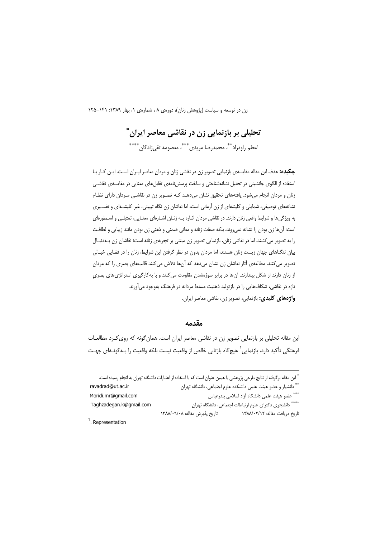# تحلیلی بر بازنمایی زن در نقاشی معاصر ایران \*

اعظم راودراد ٌ \*، محمدرضا مريدي ٌ \*\*\* معصومه تقي;ادگان \*\*\*\*

چکیده: هدف این مقاله مقایسهی بازنمایی تصویر زن در نقاشی زنان و مردان معاصر ایـران اسـت. ایـن کـار بـا استفاده از الگوی جانشینی در تحلیل نشانهشناختی و ساخت پرسشiامهی تقابلهای معنایی در مقایسهی نقاشـی زنان و مردان انجام میشود. یافتههای تحقیق نشان میدهـد کـه تصـویر زن در نقاشـی مـردان دارای نظـام نشانههای توصیفی، شمایلی و کلیشهای از زن آرمانی است، اما نقاشان زن نگاه تبیینی، غیر کلیشـهای و تفسـیری به ویژگیها و شرایط واقعی زنان دارند. در نقاشی مردان اشاره بـه زنـان اشـارهای معنـایی، تمثیلـی و اسـطورهای است؛ آنها زن بودن را نشانه نمي روند، بلكه صفات زنانه و معاني ضمني و ذهني زن بودن مانند زيبايي و لطافت را به تصویر می کشند. اما در نقاشی زنان، بازنمایی تصویر زن مبتنی بر تجربهی زنانه است؛ نقاشان زن بـهدنبـال بیان تنگناهای جهان زیست زنان هستند، اما مردان بدون در نظر گرفتن این شرایط، زنان را در فضایی خیـالی تصویر میکنند. مطالعهی آثار نقاشان زن نشان میدهد که آنها تلاش میکنند قالبهای بصری را که مردان از زنان دارند از شکل بیندازند. آنها در برابر سوژهشدن مقاومت میکنند و با بهکارگیری استراتژیهای بصری تازه در نقاشی، شکافهایی را در بازتولید ذهنیت مسلط مردانه در فرهنگ بهوجود میآورند. واژههای کلیدی: بازنمایی، تصویر زن، نقاشی معاصر ایران.

#### مقدمه

این مقاله تحلیلی بر بازنمایی تصویر زن در نقاشی معاصر ایران است. همان گونه که روی کـرد مطالعـات فرهنگی تأکید دارد، بازنمایی ` هیچگاه بازتابی خالص از واقعیت نیست بلکه واقعیت را بـهگونـهای جهـت

اً این مقاله برگرفته از نتایج طرحی پژوهشی با همین عنوان است که با استفاده از اعتبارات دانشگاه تهران به انجام رسیده است.

<sup>\*\*</sup> دانشیار و عضو هیئت علمی دانشکده علوم اجتماعی، دانشگاه تهران ravadrad@ut.ac.ir \*\*\* عضو هيئت علمى دانشگاه آزاد اسلامى بندرعباس Moridi.mr@gmail.com \*\*\*\* دانشجوی دکترای علوم ارتباطات اجتماعی، دانشگاه تهران Taghzadegan.k@gmail.com تاريخ پذيرش مقاله: ١٣٨٨/٠٩/٠٨ تاریخ دریافت مقاله: ۱۳۸۸/۰۲/۱۲

 $1.$  Representation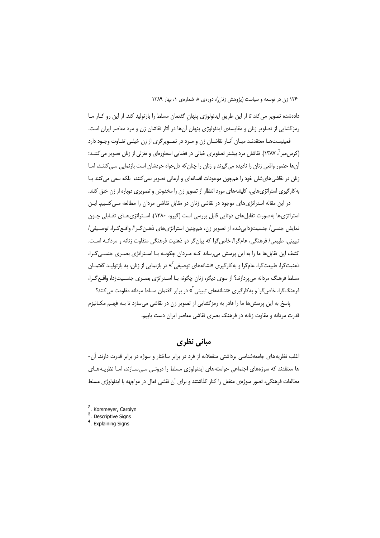دادهشده تصویر می کند تا از این طریق ایدئولوژی پنهان گفتمان مسلط را بازتولید کند. از این رو کـار مـا رمزگشایی از تصاویر زنان و مقایسهی ایدئولوژی پنهان آنها در آثار نقاشان زن و مرد معاصر ایران است. فمینیستهـا معتقدنـد میـان آثـار نقاشـان زن و مـرد در تصـویرگری از زن خیلـی تفـاوت وجـود دارد (کرس میر ، ۱۳۸۷). نقاشان مرد بیشتر تصاویری خیالی در فضایی اسطورهای و تغزلی از زنان تصویر می کننــد؛

آنها حضور واقعی زنان را نادیده می گیرند و زنان را چنان که دل خواه خودشان است بازنمایی مـی کننــد، امـا زنان در نقاشی های شان خود را همچون موجودات افسانهای و آرمانی تصویر نمی کنند، بلکه سعی می کنند بـا به کارگیری استراتژیهایی، کلیشههای مورد انتظار از تصویر زن را مخدوش و تصویری دوباره از زن خلق کنند.

در این مقاله استراتژی های موجود در نقاشی زنان در مقابل نقاشی مردان را مطالعه مـی کنـیم. ایـن استراتژی ها بهصورت تقابل های دوتایی قابل بررسی است (گیرو، ۱۳۸۰). اسـتراتژی هـای تقـابلی چـون نمایش جنسی/ جنسیتزدایی شده از تصویر زن، همچنین استراتژیهای ذهـن گـرا/ واقـع گـرا، توصـیفی/ تبیینی، طبیعی/ فرهنگی، عام گرا/ خاص گرا که بیان گر دو ذهنیت فرهنگی متفاوت زنانه و مردانـه اسـت. کشف این تقابلها ما را به این پرسش میرساند کـه مـردان چگونـه بـا اسـتراتژی بصـری جنسـی گـرا، ذهنیتگرا، طبیعتگرا، عامگرا و به کارگیری «نشانههای توصیفی<sup>"</sup>» در بازنمایی از زنان، به بازتولیـد گفتمـان مسلط فرهنگ مردانه می پردازند؟ از سوی دیگر، زنان چگونه بـا اسـتراتژی بصـری جنسـیت;دا، واقـع گـرا، فرهنگ گرا، خاص گرا و به کار گیری «نشانههای تبیینی<sup>۴</sup>» در برابر گفتمان مسلط مردانه مقاومت می کنند؟

پاسخ به این پرسشها ما را قادر به رمزگشایی از تصویر زن در نقاشی می سازد تا بـه فهـم مکـانیزم قدرت مردانه و مقاوت زنانه در فرهنگ بصری نقاشی معاصر ایران دست یابیم.

### مبانی نظری

اغلب نظریههای جامعهشناسی برداشتی منفعلانه از فرد در برابر ساختار و سوژه در برابر قدرت دارند. آن-ها معتقدند که سوژههای اجتماعی خواستههای ایدئولوژی مسلط را درونـی مـیسـازند، امـا نظریـههـای مطالعات فرهنگی، تصور سوژهی منفعل را کنار گذاشتند و برای آن نقشی فعال در مواجهه با ایدئولوژی مسلط

- <sup>2</sup>. Korsmeyer, Carolyn  $3.$  Descriptive Signs
- <sup>4</sup>. Explaining Signs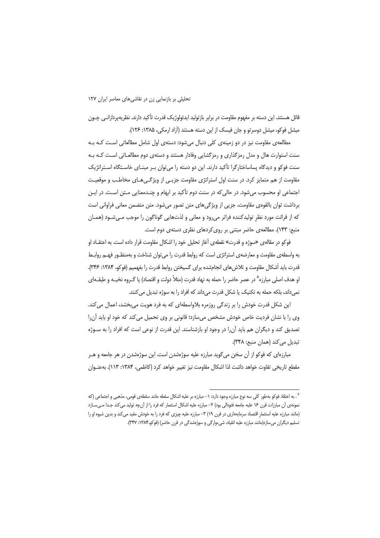قائل هستند. این دسته بر مفهوم مقاومت در برابر بازتولید ایدئولوژیک قدرت تأکید دارند. نظریهپردازانـی چـون میشل فوکو، میشل دوسرتو و جان فیسک از این دسته هستند (آزاد ارمکی، ۱۳۸۵: ۱۲۶).

مطالعهی مقاومت نیز در دو زمینهی کلی دنبال میشود: دستهی اول شامل مطالعاتی است کـه بـه سنت استوارت هال و مدل رمزگذاری و رمزگشایی وفادار هستند و دستهی دوم مطالعـاتی اسـت کـه بـه سنت فوکو و دیدگاه پساساختارگرا تأکید دارند. این دو دسته را می توان بـر مبنـای خاسـتگاه اسـتراتژیک مقاومت از هم متمایز کرد. در سنت اول استراتژی مقاومت جزیـی از ویژگـی۵هـای مخاطـب و موقعیـت اجتماعي او محسوب مي شود. در حالي كه در سنت دوم تأكيد بر ابهام و چنـدمعنايي مـتن اسـت. در ايـن برداشت توان بالقومی مقاومت، جزیی از ویژگیهای متن تصور میشود. متن متضمن معانی فراوانی است که از قرائت مورد نظر تولیدکننده فراتر میرود و معانی و لذتهایی گوناگون را موجب مـیشـود (همـان منبع: ۱۴۳). مطالعهی حاضر مبتنی بر روی کردهای نظری دستهی دوم است.

فوكو در مقالهى «سوژه و قدرت» نقطهى آغاز تحليل خود را اشكال مقاومت قرار داده است. به اعتقـاد او به واسطهی مقاومت و معارضهی استراتژی است که روابط قدرت را می توان شناخت و بهمنظـور فهـم روابـط قدرت باید اَشکال مقاومت و تلاش های انجامشده برای گسیختن روابط قدرت را بفهمیم (فوکو، ۱۳۸۴: ۳۴۶). او هدف اصلی مبارزه<sup>۵</sup> در عصر حاضر را حمله به نهاد قدرت (مثلاً دولت و اقتصاد) یا گــروه نخبــه و طبقــهای نمیداند، بلکه حمله به تکنیک یا شکل قدرت میداند که افراد را به سوژه تبدیل می کنند.

این شکل قدرت خودش را بر زندگی روزمره بلاواسطهای که به فرد هویت میبخشد، اعمال می کند. وی را با نشان فردیت خاص خودش مشخص می سازد؛ قانونی بر وی تحمیل می کند که خود او باید آن را تصدیق کند و دیگران هم باید آن را در وجود او بازشناسند. این قدرت از نوعی است که افراد را به سـوژه تبدیل می کند (همان منبع: ۳۴۸).

مبارزهای که فوکو از آن سخن می6گوید مبارزه علیه سوژهشدن است. این سوژهشدن در هر جامعه و هــر مقطع تاریخی تفاوت خواهد داشت لذا اشکال مقاومت نیز تغییر خواهد کرد (کاظمی، ۱۳۸۴: ۱۱۳). بهعنـوان

<sup>° .</sup> به اعتقاد فوکو بهطور کلی سه نوع مبارزه وجود دارد: ۱– مبارزه بر علیه اشکال سلطه مانند سلطهی قومی، مذهبی و اجتماعی (که نمونهی آن مبارزات قرن ۱۶ علیه جامعه فئودالی بود) ۲– مبارزه علیه اشکال استثمار که فرد را از آنچه تولید میکند جـدا مـیسـازد (مانند مبارزه علیه استثمار اقتصاد سرمایهداری در قرن ۱۹) ۳– مبارزه علیه چیزی که فرد را به خودش مقید میکند و بدین شیوه او را تسلیم دیگران میسازد(مانند مبارزه علیه انقیاد، شیءوارگی و سوژهشدگی در قرن حاضر) (فوکو،۱۳۸۴: ۳۴۷).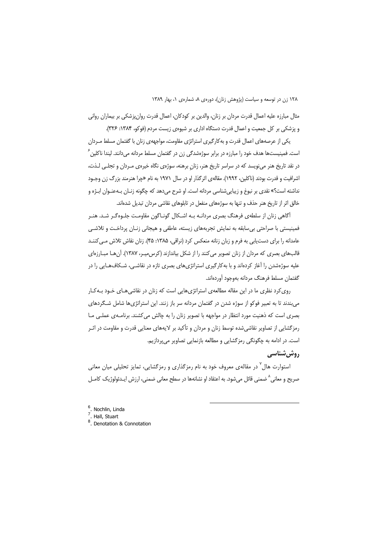مثال مبارزه عليه اعمال قدرت مردان بر زنان، والدين بر كودكان، اعمال قدرت روانپزشكي بر بيماران رواني و پزشکی بر کل جمعیت و اعمال قدرت دستگاه اداری بر شیوهی زیست مردم (فوکو، ۱۳۸۴: ۳۲۶).

یکی از عرصههای اعمال قدرت و به کارگیری استراتژی مقاومت، مواجههی زنان با گفتمان مسلط مـردان است. فمینیستها هدف خود را مبارزه در برابر سوژهشدگی زن در گفتمان مسلط مردانه می دانند. لیندا ناکلین <sup>۶</sup> در نقد تاریخ هنر می;نویسد که در سراسر تاریخ هنر، زنان برهنه، سوژهی نگاه خیرهی مـردان و تجلـی لـذت، اشرافیت و قدرت بودند (ناکلین، ۱۹۹۲). مقالهی اثر گذار او در سال ۱۹۷۱ به نام «چرا هنرمند بزرگ زن وجـود نداشته است؟» نقدي بر نبوغ و زيبايي شناسي مردانه است. او شرح ميدهد كه چگونه زنـان بــهعنـوان ابــژه و خالق اثر از تاریخ هنر حذف و تنها به سوژههای منفعل در تابلوهای نقاشی مردان تبدیل شدهاند.

آگاهی زنان از سلطهی فرهنگ بصری مردانـه بـه اشـکال گونـاگون مقاومـت جلـوهگـر شـد. هنـر فمینیستی با صراحتی بی سابقه به نمایش تجربههای زیسته، عاطفی و هیجانی زنـان پرداخـت و تلاشـی عامدانه را برای دست یابی به فرم و زبان زنانه منعکس کرد (نراقی، ۱۳۸۵: ۴۵). زنان نقاش تلاش مـی کننــد قالبهای بصری که مردان از زنان تصویر می کنند را از شکل بیاندازند (کرس میـر، ۱۳۸۷). آن هـا مبـارزهای علیه سوژهشدن را آغاز کردهاند و با بهکارگیری استراتژیهای بصری تازه در نقاشـی، شـکافهـایی را در گفتمان مسلط فرهنگ مردانه بهوجود آوردهاند.

روی کرد نظری ما در این مقاله مطالعهی استراتژیهایی است که زنان در نقاشی هـای خـود بـه کـار میبندند تا به تعبیر فوکو از سوژه شدن در گفتمان مردانه سر باز زنند. این استراتژیها شامل شـگردهای بصری است که ذهنیت مورد انتظار در مواجهه با تصویر زنان را به چالش می کشند. برنامـهی عملـی مـا رمزگشایی از تصاویر نقاشیشده توسط زنان و مردان و تأکید بر لایههای معنایی قدرت و مقاومت در اثـر است. در ادامه به چگونگی رمزگشایی و مطالعه بازنمایی تصاویر میپردازیم.

### **, وش شناسی**

استوارت هال<sup>۷</sup> در مقالهی معروف خود به نام رمزگذاری و رمزگشایی، تمایز تحلیلی میان معانی صریح و معانی^ضمنی قائل میشود. به اعتقاد او نشانهها در سطح معانی ضمنی، ارزش ایـدئولوژیک کامـل

- $\frac{6}{7}$ . Nochlin, Linda<br> $\frac{7}{7}$ . Hall, Stuart
- 

<sup>&</sup>lt;sup>8</sup> Denotation & Connotation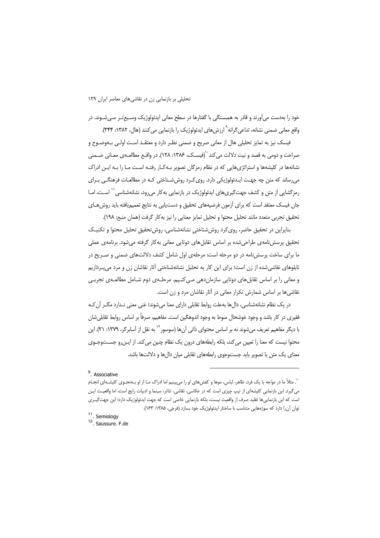خود را بهدست می آورند و قادر به همبستگی با گفتارها در سطح معانی ایدئولوژیک وسـیع تـر مـی شـوند. در واقع معانی ضمنی نشانه، تداعی گرانه<sup>۹</sup> ارزش های ایدئولوژیک را بازنمایی می کنند (هال، ۱۳۸۲: ۳۴۴).

فیسک نیز به تمایز تحلیلی هال از معانی صریح و ضمنی نظـر دارد و معتقـد اسـت اولـی بـهوضــوح و صراحت و دومی به قصد و نیت دلالت می کند<sup>۰۰</sup>(فیسـک، ۱۳۸۶: ۱۲۸). در واقـع مطالعـهی معـانی ضـمنی نشانهها در کلیشهها و استراتژیهایی که در نظام رمزگان تصویر بـه کـار رفتـه اسـت مـا را بـه ایـن ادراک می رساند که متن چه جهت ایـدئولوژیکی دارد. روی کـرد روش شـناختی کـه در مطالعـات فرهنگـی بـرای رمز گشایی از متن و کشف جهت *گ*یریهای ایدئولوژیک در بازنمایی به کار می رود، نشانهشناسی <sup>۱٬</sup> اسـت، امـا جان فیسک معتقد است که برای آزمون فرضیههای تحقیق و دست،یابی به نتایج تعمیمیافته باید روش هـای تحقيق تجربي متعدد مانند تحليل محتوا و تحليل تمايز معنايي را نيز بهكار گرفت (همان منبع: ١٩٨).

بنایراین در تحقیق حاضر، روی کرد روش شناختی نشانهشناسی، روش تحقیق تحلیل محتوا و تکنیک تحقیق پرسشiامهی طراحیشده بر اساس تقابلهای دوتایی معانی بهکار گرفته میشود. برنامهی عملی ما برای ساخت پرسشiامه در دو مرحله است: مرحلهی اول شامل کشف دلالتهای ضمنی و صـریح در تابلوهای نقاشیشده از زن است؛ برای این کار به تحلیل نشانهشناختی آثار نقاشان زن و مرد میپردازیم و معانی را بر اساس تقابل های دوتایی سازمان دهی مـی کنـیم. مرحلـهی دوم شـامل مطالعـهی تجربـی نقاشی ها بر اساس شمارش تکرار معانی در آثار نقاشان مرد و زن است.

در یک نظام نشانهشناسی، دالها بهعلت روابط تقابلی دارای معنا میشوند؛ غنی معنی نـدارد مگـر آن کـه فقيري در كار باشد و وجود خوشحال منوط به وجود اندوهگين است. مفاهيم، صرفاً بر اساس روابط تقابلي شان با دیگر مفاهیم تعریف میشوند نه بر اساس محتوای ذاتی آنها (سوسور<sup>۲۰</sup> به نقل از آسابرگر، ۱۳۷۹: ۲۱). این محتوا نیست که معنا را تعیین می کند، بلکه رابطههای درون یک نظام چنین می کند. از ایـنررو جسـتوجـوی معنای یک متن یا تصویر باید جستوجوی رابطههای تقابلی میان دالها و دلالتها باشد.

<sup>11</sup>. Semiology

 $9.$  Associative

<sup>``.</sup> مثلاً ما در مواجه با یک فرد، ظاهر، لباس، موها و کفش های او را می بینیم اما ادراک مـا از او بـهنحـوی کلیشـهای انجـام میگیرد. این بازنمایی کلیشهای از تیپ چیزی است که در عکاسی، نقاشی، تئاتر، سینما و ادبیات رایج است، اما واقعیت ایـن است که این بازنماییها تقلید صرف از واقعیت نیست، بلکه بازنمایی خاصی است که جهت ایدئولوژیک دارد؛ این جهت $z$ یـری توان آنرا دارد که سوژههایی متناسب با ساختار ایدئولوژیک خود بسازد (فرجی، ۱۳۸۵: ۱۶۳).

<sup>&</sup>lt;sup>12</sup> Saussure. F.de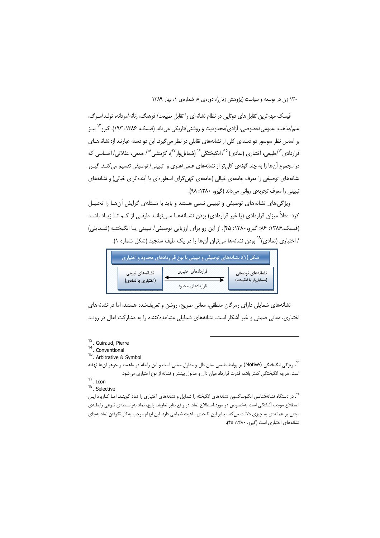فیسک مهمترین تقابل های دوتایی در نظام نشانهای را تقابل طبیعت/ فرهنگ، زنانه/مردانه، تولـد/مـرگ، علم/مذهب، عمومی/خصوصی، آزادی/محدودیت و روشنی/تاریکی می۱داند (فیسک، ۱۳۸۶: ۱۹۳). گیرو<sup>۱۲</sup> نیـز بر اساس نظر سوسور دو دستهی کلی از نشانههای تقابلی در نظر می گیرد. این دو دسته عبارتند از: نشانههـای قراردادی <sup>۱۴</sup>/طبیعی، اختیاری (نمادی) <sup>۱۵</sup>/ انگیختگی <sup>۱۶</sup> (شمایلeار <sup>۱۷</sup>)، گزینشی <sup>۱۸</sup>/ جمعی، عقلانی/ احساسی که در مجموع آنها را به چند گونهی کلی تر از نشانههای علمی/هنری و تبیینی/ توصیفی تقسیم می کنـد. گیـرو نشانههای توصیفی را معرف جامعهی خیالی (جامعهی کهن گرای اسطورهای یا آینده گرای خیالی) و نشانههای تبييني را معرف تجربهي رواني مي داند (گيرو، ١٣٨٠: ٩٨).

ویژگیهای نشانههای توصیفی و تبیینی نسبی هستند و باید با مسئلهی گرایش آنهـا را تحلیـل کرد. مثلاً میزان قراردادی (یا غیر قراردادی) بودن نشـانههـا مـی توانـد طیفـی از کـم تـا زیـاد باشـد (فیسک،۱۳۸۶: ۰٫۶٪ گیرو،۱۳۸۰: ۴۵). از این رو برای ارزیابی توصیفی/ تبیینی یـا انگیختـه (شـمایلی) / اختیاری (نمادی)<sup>۱۹</sup> بودن نشانهها می *ت*وان آنها را در یک طیف سنجید (شکل شماره ۱).

|                    | شکل (۱): نشانههای توصیفی و تبیینی با نوع قراردادهای محدود و اختیاری |                       |
|--------------------|---------------------------------------------------------------------|-----------------------|
| نشانەھاي تېيىنى    | قراردادهای اختیاری                                                  | نشانەھای توصیفی       |
| (اختیاری یا نمادی) | قراردادهای محدود                                                    | (شمایلوار یا انگیخته) |

نشانههای شمایلی دارای رمزگان منطقی، معانی صریح، روشن و تعریفشده هستند، اما در نشانههای اختیاری، معانی ضمنی و غیر آشکار است. نشانههای شمایلی مشاهده کننده را به مشارکت فعال در رونـد

<sup>۶</sup>. ویژگی انگیختگی (Motive) بر روابط طبیعی میان دال و مدلول مبتنی است و این رابطه در ماهیت و جوهر آنها نهفته است. هرچه انگیختگی کمتر باشد، قدرت قرارداد میان دال و مدلول بیشتر و نشانه از نوع اختیاری میشود.

 $17 \cdot$  Icon

 $18$ . Selective

۰۱<br><sup>۱۹</sup>. در دستگاه نشانهشناسی انگلوساکسون نشانههای انگیخته را شمایل و نشانههای اختیاری را نماد گوینـد. امـا کـاربرد ایـن اصطلاح موجب آشفتگی است بهخصوص در مورد اصطلاح نماد. در واقع بنابر تعاریف رایج، نماد بهواسـطهی نـوعی رابطـهی مبتنی بر همانندی به چیزی دلالت می کند، بنابر این تا حدی ماهیت شمایلی دارد. این ابهام موجب به کار نگرفتن نماد بهجای نشانههای اختیاری است (گیرو، ١٣٨٠: ۴۵).

<sup>&</sup>lt;sup>13</sup>. Guiraud, Pierre

<sup>&</sup>lt;sup>14</sup>. Conventional<br><sup>15</sup>. Arbitrative & Symbol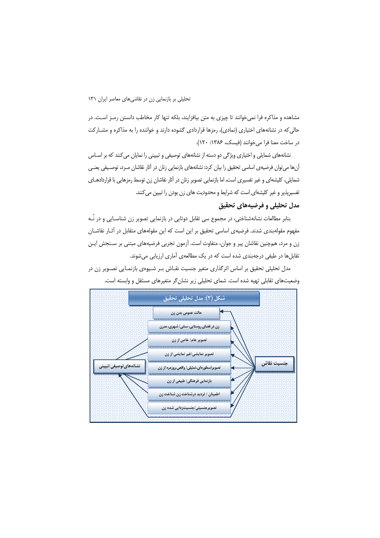مشاهده و مذاکره فرا نمی خوانند تا چیزی به متن بیافزایند، بلکه تنها کار مخاطب دانستن رمـز اسـت. در حالی که در نشانههای اختیاری (نمادی)، رمزها قراردادی گشوده دارند و خواننده را به مذاکره و مشــارکت در ساخت معنا فرا می خوانند (فیسک، ۱۳۸۶: ۱۲۰).

نشانههای شمایلی و اختیاری ویژگی دو دسته از نشانههای توصیفی و تبیینی را نمایان میکنند که بر اسـاس آنها می توان فرضیهی اساسی تحقیق را بیان کرد: نشانههای بازنمایی زنان در آثار نقاشان مـرد، توصـیفی یعنـی شمایلی، کلیشهای و غیر تفسیری است، اما بازنمایی تصویر زنان در آثار نقاشان زن توسط رمزهایی با قراردادهـای تفسیرپذیر و غیر کلیشهای است که شرایط و محدودیت های زن بودن را تبیین می کنند.

### مدل تحلیلی و فرضیههای تحقیق

بنابر مطالعات نشانهشناختی، در مجموع سی تقابل دوتایی در بازنمایی تصویر زن شناسـایی و در نُـه مفهوم مقولهبندی شدند. فرضیهی اساسی تحقیق بر این است که این مقولههای متقابل در آثـار نقاشـان زن و مرد، همچنین نقاشان پیر و جوان، متفاوت است. آزمون تجربی فرضیههای مبتنی بر سـنجش ایـن تقابل ها در طیفی درجهبندی شده است که در یک مطالعهی آماری ارزیابی می شوند.

مدل تحلیلی تحقیق بر اساس اثرگذاری متغیر جنسیت نقـاش بـر شـیوهی بازنمـایی تصـویر زن در وضعیتهای تقابلی تهیه شده است. شمای تحلیلی زیر نشان گر متغیرهای مستقل و وابسته است.

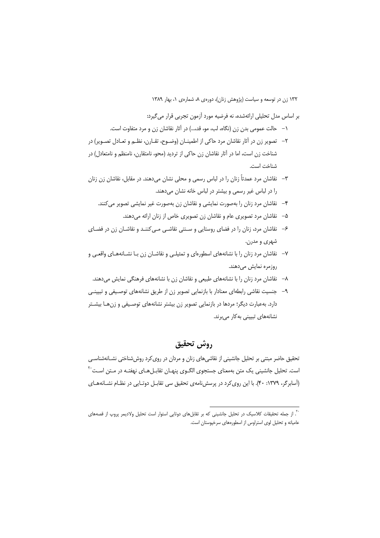بر اساس مدل تحلیلی ارائهشده، نه فرضیه مورد آزمون تجربی قرار می گیرد:

- ١– حالت عمومي بدن زن (نگاه، لب، مو، قد،...) در آثار نقاشان زن و مرد متفاوت است.
- ٢– تصویر زن در آثار نقاشان مرد حاکی از اطمینــان (وضــوح، تقــارن، نظــم و تعــادل تصــویر) در شناخت زن است، اما در آثار نقاشان زن حاکی از تردید (محو، نامتقارن، نامنظم و نامتعادل) در شناخت است.
- ٣– نقاشان مرد عمدتاً زنان را در لباس رسمی و محلی نشان می،دهند. در مقابل، نقاشان زن زنان را در لباس غیر رسمی و بیشتر در لباس خانه نشان میدهند.
	- ۴– نقاشان مرد زنان را بهصورت نمایشی و نقاشان زن بهصورت غیر نمایشی تصویر می کنند.
		- ۵– نقاشان مرد تصویری عام و نقاشان زن تصویری خاص از زنان ارائه میدهند.
- ۶– نقاشان مرد، زنان را در فضای روستایی و سـنتی نقاشـی مـی کننـد و نقاشـان زن در فضـای شهري و مدرن.
- ۷– نقاشان مرد زنان را با نشانههای اسطورهای و تمثیلـی و نقاشـان زن بـا نشـانههـای واقعـی و روزمرہ نمایش م<u>ی</u>دھند.
	- ۸– نقاشان مرد زنان را با نشانههای طبیعی و نقاشان زن با نشانههای فرهنگی نمایش میدهند.
- ۹– جنسیت نقاشی رابطهای معنادار با بازنمایی تصویر زن از طریق نشانههای توصیفی و تبیینـی دارد. بهعبارت دیگر؛ مردها در بازنمایی تصویر زن بیشتر نشانههای توصیفی و زن هـا بیشـتر نشانەھاي تبييني بەكار مىبرند.

# روش تحقيق

تحقیق حاضر مبتنی بر تحلیل جانشینی از نقاشیهای زنان و مردان در روی کرد روششناختی نشـانهشناسـی است. تحلیل جانشینی یک متن بهمعنای جستجوی الگـوی پنهـان تقابـلهـای نهفتـه در مـتن اسـت<sup>۲۰</sup> (آسابرگر، ۱۳۷۹: ۴۰). با این روی کرد در پرسش نامهی تحقیق سی تقابـل دوتـایی در نظـام نشـانههـای

<sup>.&</sup>lt;br>``. از جمله تحقیقات کلاسیک در تحلیل جانشینی که بر تقابلهای دوتایی استوار است تحلیل ولادیمر پروپ از قصههای عامیانه و تحلیل لوی استراوس از اسطورههای سرخپوستان است.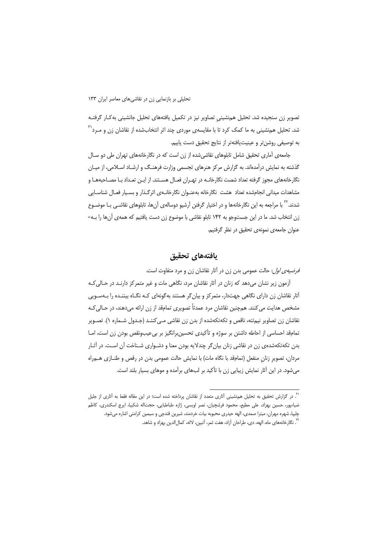تصویر زن سنجیده شد. تحلیل همنشینی تصاویر نیز در تکمیل یافتههای تحلیل جانشینی بهکار گرفتـه شد. تحلیل هم;شینی به ما کمک کرد تا با مقایسهی موردی چند اثر انتخابشده از نقاشان زن و مــرد<sup>۲۱</sup> به توصيفي روشنتر و عينيتيافتهتر از نتايج تحقيق دست يابيم.

جامعه ی آماری تحقیق شامل تابلوهای نقاشی شده از زن است که در نگارخانههای تهران طی دو سـال گذشته به نمایش درآمدهاند. به گزارش مرکز هنرهای تجسمی وزارت فرهنـگ و ارشـاد اسـلامی، از میـان نگارخانههای مجوز گرفته تعداد شصت نگارخانـه در تهـران فعـال هسـتند. از ایـن تعـداد بـا مصـاحبههـا و مشاهدات میدانی انجامشده تعداد هشت نگارخانه بهعنـوان نگارخانـهی اثرگـذار و بسـیار فعـال شناسـایی شدند.<sup>۲۲</sup> با مراجعه به این نگارخانهها و در اختیار گرفتن آرشیو دوسالهی آنها، تابلوهای نقاشـی بـا موضـوع زن انتخاب شد. ما در این جستوجو به ۱۴۲ تابلو نقاشی با موضوع زن دست یافتیم که همهی آنها را بـه-عنوان جامعهى نمونهى تحقيق در نظر گرفتيم.

# يافتههاى تحقيق

*فرضیهی اول*: حالت عمومی بدن زن در آثار نقاشان زن و مرد متفاوت است.

آزمون زیر نشان میدهد که زنان در آثار نقاشان مرد، نگاهی مات و غیر متمرکز دارنـد در حـالی کـه آثار نقاشان زن دارای نگاهی جهتدار، متمرکز و بیانگر هستند بهگونهای کـه نگـاه بیننـده را بـهسـویی مشخص هدایت می کنند. همچنین نقاشان مرد عمدتاً تصویری تمامقد از زن ارائه می دهند، در حـالی کـه نقاشان زن تصاویر نیمتنه، ناقص و تکهتکهشده از بدن زن نقاشی مـی کننـد (جـدول شـماره ۱). تصـویر تمامقد احساسی از احاطه داشتن بر سوژه و تأکیدی تحسین برانگیز بر بی عیبونقص بودن زن است، امـا بدن تکهتکهشدهی زن در نقاشی زنان بیان گر چندلایه بودن معنا و دشـواری شـناخت آن اسـت. در آثـار مردان، تصویر زنان منفعل (تمامقد با نگاه مات) با نمایش حالت عمومی بدن در رقص و طنــازی هــم,راه میشود. در این آثار نمایش زیبایی زن با تأکید بر لبهای برآمده و موهای بسیار بلند است.

<sup>&</sup>lt;sup>۲۱</sup>. در گزارش تحقیق به تحلیل همنشینی آثاری متعدد از نقاشان پرداخته شده است؛ در این مقاله فقط به آثاری از جلیل ضیاءپور، حسین بهزاد، علی مطیع، محمود فرشچیان، نصر اویسی، ژازه طباطبایی، حجتاله شکیبا، ایرج اسکندری، کاظم چلیپا، شهره مهران، میترا صمدی، الهه حیدری محبوبه بیات خردمند، شیرین قندچی و سیمین کرامتی اشاره میشود. ``. نگارخانههای ماه، الهه، دی، طراحان آزاد، هفت ثمر، آتبین، لاله، کمالالدین بهزاد و شاهد.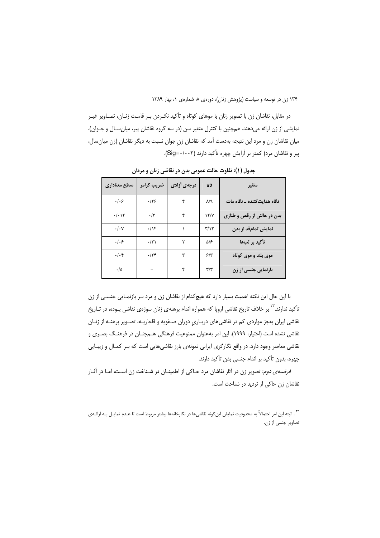در مقابل، نقاشان زن با تصویر زنان با موهای کوتاه و تأکید نکـردن بـر قامـت زنـان، تصـاویر غیـر نمایشی از زن ارائه میدهند. همچنین با کنترل متغیر سن (در سه گروه نقاشان پیر، میان سال و جـوان)، میان نقاشان زن و مرد این نتیجه بهدست آمد که نقاشان زن جوان نسبت به دیگر نقاشان (زن میان سال، پیر و نقاشان مرد) کمتر بر آرایش چهره تأکید دارند (Sig=۰/۰۰۲).

| سطح معناداري               | ضريب كرامر  | درجهی أزادی | x2                      | متغير                       |
|----------------------------|-------------|-------------|-------------------------|-----------------------------|
| .   . 5                    | .179        | ۴           | $\lambda$ /٩            | نگاه هدایتکننده ـ نگاه مات  |
| $\cdot/\cdot$ ) $\Upsilon$ | $\cdot$ /۳  | ۴           | Y/Y                     | بدن در حالتی از رقص و طنازی |
| $\cdot/\cdot$ Y            | .1          |             | $\mathbf{r}/\mathbf{v}$ | نمایش تمامقد از بدن         |
| .   . 5                    | $\cdot$ /۲۱ |             | ۵۱۶                     | تأكيد بر لبها               |
| $\cdot/\cdot$ ۴            | .75         | ٣           | ۶۳                      | موی بلند و موی کوتاه        |
| $\cdot/\Delta$             |             | ۴           | $\mathbf{r}/\mathbf{r}$ | بازنمایی جنسی از زن         |

جدول (۱): تفاوت حالت عمومی بدن در نقاشی زنان و مردان

با این حال این نکته اهمیت بسیار دارد که هیچ کدام از نقاشان زن و مرد بـر بازنمـایی جنسـی از زن تأکید ندارند.'<sup>۲۳</sup> بر خلاف تاریخ نقاشی اروپا که همواره اندام برهنهی زنان سوژهی نقاشی بــوده، در تــاریخ نقاشی ایران بهجز مواردی کم در نقاشیهای دربـاری دوران صـفویه و قاجاریـه، تصـویر برهنـه از زنـان نقاشی نشده است (اختیار، ۱۹۹۹). این امر بهعنوان ممنوعیت فرهنگی هـمچنـان در فرهنـگ بصـری و نقاشی معاصر وجود دارد. در واقع نگارگری ایرانی نمونهی بارز نقاشیهایی است که بـر کمـال و زیبـایی چهره، بدون تأكيد بر اندام جنسي بدن تأكيد دارند.

*فرضیهی دوم*: تصویر زن در آثار نقاشان مرد حـاکی از اطمینـان در شـناخت زن اسـت، امـا در آثـار نقاشان زن حاکی از تردید در شناخت است.

<sup>.&</sup>lt;br>٣. البته اين امر احتمالاً به محدوديت نمايش اين گونه نقاشىها در نگارخانهها بيشتر مربوط است تا عـدم تمايـل بـه ارائـهى تصاویر جنسی از زن.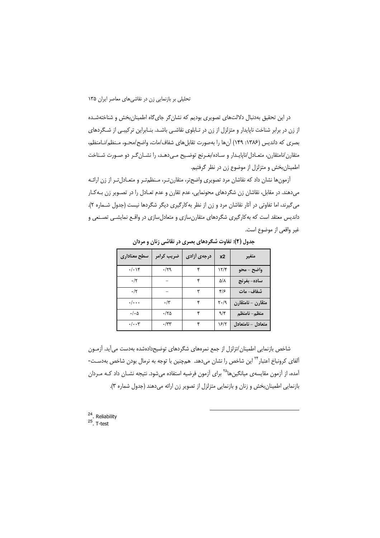در این تحقیق بهدنبال دلالتهای تصویری بودیم که نشان گر جای گاه اطمینان بخش و شناختهشـده از زن در برابر شناخت ناپایدار و متزلزل از زن در تـابلوی نقاشـی باشـد. بنـابراین ترکیبـی از شـگردهای بصري كه دانديس (١٣٨۶: ١۴٩) آنها را بهصورت تقابل هاي شفاف/مات، واضح/محـو، مـنظم/نـامنظم، متقارن/نامتقارن، متعـادل/ناپايـدار و سـاده/بغـرنج توضـيح مـىدهـد، را نشـان گـر دو صـورت شـناخت اطمینان بخش و متزلزل از موضوع زن در نظر گرفتیم.

آزمونها نشان داد که نقاشان مرد تصویری واضح تر، متقارن تـر، مـنظم تـر و متعـادل تـر از زن ارائـه می(هند. در مقابل، نقاشان زن شگردهای محونمایی، عدم تقارن و عدم تعـادل را در تصـویر زن بـه کـار می گیرند، اما تفاوتی در آثار نقاشان مرد و زن از نظر به کارگیری دیگر شگردها نیست (جدول شـماره ۲). داندیس معتقد است که بهکارگیری شگردهای متقارنسازی و متعادلِسازی در واقـع نمایشـی تصـنعی و غير واقعي از موضوع است.

| سطح معناداری         | ضریب کرامر   | درجهی أزادی | <b>x2</b>                   | متغير             |
|----------------------|--------------|-------------|-----------------------------|-------------------|
| $\cdot/\cdot$ )۴     | .79          | ۴           | $\frac{1}{\sqrt{2}}$        | واضح - محو        |
| $\cdot/\tau$         |              | ۴           | ۵/۸                         | ساده- بغرنج       |
| $\cdot$ /٢           |              | ٣           | ۴۱۶                         | شفاف– مات         |
| $\cdot/\cdot\cdot$   | $\cdot/\tau$ | ۴           | $\mathsf{r}\cdot\mathsf{r}$ | متقارن – نامتقارن |
| $\cdot/\cdot \Delta$ | ۲۵-۱۰        | ۴           | 9/5                         | منظم- نامنظم      |
| $\cdot/\cdot\cdot$ ۳ | $\cdot$ /۳۳  | ۴           | ۱۶۱۲                        | متعادل – نامتعادل |

جدول (۲): تفاوت شگردهای بصری در نقاشی زنان و مردان

شاخص بازنمایی اطمینان/تزلزل از جمع نمرههای شگردهای توضیحدادهشده بهدست می آید. آزمـون آلفای کرونباخ اعتبار<sup>۲۴</sup> این شاخص را نشان میدهد. همچنین با توجه به نرمال بودن شاخص بهدسـت-آمده، از آزمون مقایسهی میانگینها<sup>۲۵</sup> برای آزمون فرضیه استفاده میشود. نتیجه نشــان داد کــه مــردان بازنمایی اطمینان بخش و زنان و بازنمایی متزلزل از تصویر زن ارائه میدهند (جدول شماره ۳).

<sup>24</sup>, Reliability  $25$  T-test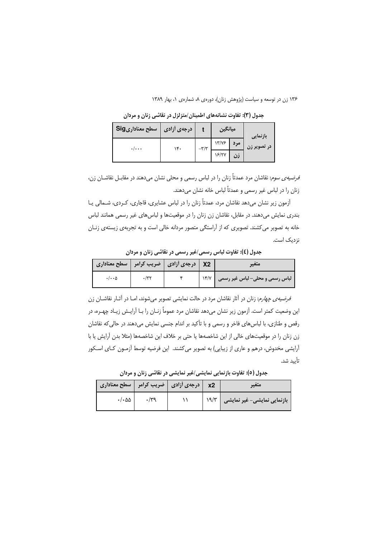| سطح معناداریSig         | درجەی آزادی |              | ميانگين |     | بازنمایی    |
|-------------------------|-------------|--------------|---------|-----|-------------|
| $\cdot/\cdot\cdot\cdot$ | ۱۴۰         | $-\tau/\tau$ | 17/15   | مرد | در تصویر زن |
|                         |             |              | 18/77   | زن  |             |

جدول (۳): تفاوت نشانههای اطمینان/متزلزل در نقاشی زنان و مردان

*فرضیهی سوم*: نقاشان مرد عمدتاً زنان را در لباس رسمی و محلی نشان میدهند در مقابـل نقاشــان زن، زنان را در لباس غیر رسمی و عمدتاً لباس خانه نشان میدهند.

آزمون زیر نشان میدهد نقاشان مرد، عمدتاً زنان را در لباس عشایری، قاجاری، کـردی، شــمالی یــا بندری نمایش میدهند. در مقابل، نقاشان زن زنان را در موقعیتها و لباس های غیر رسمی همانند لباس خانه به تصویر می کشند. تصویری که از آراستگی متصور مردانه خالی است و به تجربهی زیستهی زنـان نزدیک است.

جدول (٤): تفاوت لباس رسمي/غير رسمي در نقاشي زنان و مردان

| X2   درجهی آزادی   ضریب کرامر   سطح معناداری |  |      | متعير                           |
|----------------------------------------------|--|------|---------------------------------|
| ۰/۰۰۵                                        |  | YY/Y | لباس رسمی و محلی– لباس غیر رسمی |

*فرضیهی چهارم*: زنان در آثار نقاشان مرد در حالت نمایشی تصویر می شوند، امـا در آثـار نقاشـان زن این وضعیت کمتر است. آزمون زیر نشان میدهد نقاشان مرد عموماً زنـان را بـا آرایـش زیـاد چهـره، در رقص و طنازی، با لباس های فاخر و رسمی و با تأکید بر اندام جنسی نمایش میدهند در حالی که نقاشان زن زنان را در موقعیتهای خالی از این شاخصهها یا حتی بر خلاف این شاخصهها (مثلا بدن آرایش یا با آرایشی مخدوش، درهم و عاری از زیبایی) به تصویر می کشند. این فرضیه توسط آزمـون کـای اسـکور تأىيد شد.

| x2   درجهی آزادی   ضریب کرامر   سطح معناداری |     |  | متعير                              |
|----------------------------------------------|-----|--|------------------------------------|
| $\cdot/\cdot \Delta \Delta$                  | ۳۹. |  | بازنمایی نمایشی- غیر نمایشی   ۱۹/۳ |

جدول (٥): تفاوت بازنمایی نمایشی/غیر نمایشی در نقاشی زنان و مردان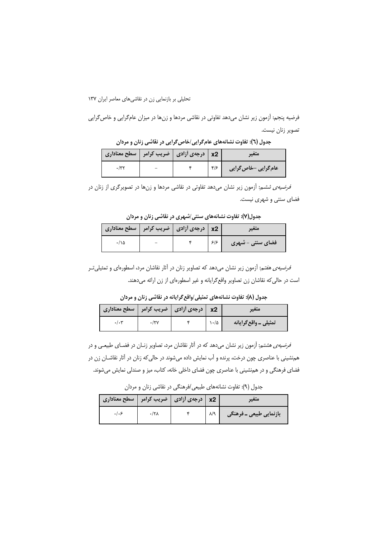فرضیه پنجم: آزمون زیر نشان میدهد تفاوتی در نقاشی مردها و زنها در میزان عامگرایی و خاص گرایی تصوير زنان نيست.

| x2   درجهی آزادی   ضریب کرامر   سطح معناداری |  |                           | سعيب                 |
|----------------------------------------------|--|---------------------------|----------------------|
|                                              |  | $\mathcal{S}/\mathcal{S}$ | عام گرایی -خاص گرایی |

جدول (٦): تفاوت نشانههای عام گرایی/خاص گرایی در نقاشی زنان و مردان

*فرضیهی ششم:* آزمون زیر نشان میدهد تفاوتی در نقاشی مردها و زنها در تصویرگری از زنان در فضای سنتی و شهری نیست.

جدول(۷): تفاوت نشانههای سنتی/شهری در نقاشی زنان و مردان

| x2   درجهی آزادی   ضریب کرامر   سطح معناداری |  |     | سعير              |
|----------------------------------------------|--|-----|-------------------|
| ۱۵۰/۰                                        |  | ۶۱۶ | 'فضای سنتی - شهری |

*فرضیهی هفت*م; آزمون زیر نشان میدهد که تصاویر زنان در آثار نقاشان مرد، اسطورهای و تمثیلیتر است در حالی که نقاشان زن تصاویر واقع گرایانه و غیر اسطورهای از زن ارائه میدهند.

جدول (۸): تفاوت نشانههای تمثیلی/واقع گرایانه در نقاشی زنان و مردان

| $\mid$ درجهى أزادى $\mid$ ضريب كرامر $\mid$ سطح معنادارى $\mid$ |  | x <sub>2</sub> | متعير                 |
|-----------------------------------------------------------------|--|----------------|-----------------------|
| .1.5                                                            |  | ۱۰/۵           | تمثیلی ـ واقع گرایانه |

*فرضیهی هشتم:* آزمون زیر نشان میدهد که در آثار نقاشان مرد، تصاویر زنـان در فضـای طبیعـی و در هم:شینی با عناصری چون درخت، پرنده و آب نمایش داده میشوند در حالی که زنان در آثار نقاشـان زن در فضای فرهنگی و در هم نشینی با عناصری چون فضای داخلی خانه، کتاب، میز و صندلی نمایش میشوند.

جدول (۹): تفاوت نشانههای طبیعی /فرهنگی در نقاشی زنان و مردان

| x2   درجهی أزادی   ضریب کرامر   سطح معناداری |  |                         |
|----------------------------------------------|--|-------------------------|
|                                              |  | بازنمایی طبیعی ـ فرهنگی |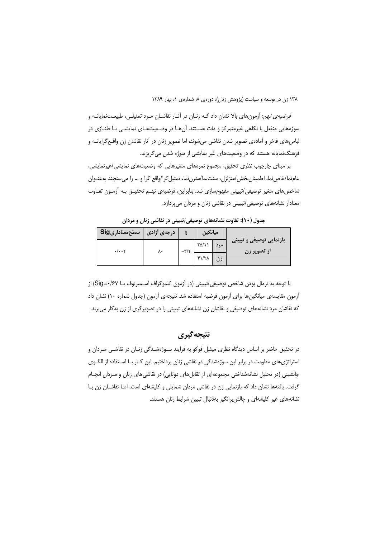*فرضیهی نهم*: آزمون های بالا نشان داد کـه زنـان در آثـار نقاشـان مـرد تمثیلـی، طبیعـتنمایانـه و سوژههایی منفعل با نگاهی غیرمتمرکز و مات هسـتند. آنهـا در وضـعیتهـای نمایشـی بـا طنـازی در لباس های فاخر و آمادهی تصویر شدن نقاشی می شوند، اما تصویر زنان در آثار نقاشان زن واقـع گرایانــه و فرهنگ نمایانه هستند که در وضعیتهای غیر نمایشی از سوژه شدن می گریزند.

بر مبنای چارچوب نظری تحقیق، مجموع نمرههای متغیرهایی که وضعیتهای نمایشی/غیرنمایشی، عامنما/خاص نما، اطمینان بخش /متزلزل، سنتنما/مدرن نما، تمثیل گرا/واقع گرا و … را می سنجند بهعنـوان شاخصهای متغیر توصیفی/تبیینی مفهومسازی شد. بنابراین، فرضیهی نهـم تحقیـق بـه آزمـون تفـاوت معنادار نشانههای توصیفی/تبیینی در نقاشی زنان و مردان میپردازد.

| سطحمعناداریSig | درجەي أزادى |              | ميانگين                 |                                         |
|----------------|-------------|--------------|-------------------------|-----------------------------------------|
| . / 7          | ۸۰          | $-\tau/\tau$ | $\Gamma \Delta/\lambda$ | بازنمایی توصیفی و تبیینی<br>از تصویر زن |
|                |             |              | $f\$                    |                                         |

جدول (١٠): تفاوت نشانههای توصیفی/تبیینی در نقاشی زنان و مردان

با توجه به نرمال بودن شاخص توصيفي/تبييني (در آزمون كلموگراف اسـميرنوف بـا Sig=٠/۶۷) از آزمون مقایسهی میانگینها برای آزمون فرضیه استفاده شد. نتیجهی آزمون (جدول شماره ۱۰) نشان داد که نقاشان مرد نشانههای توصیفی و نقاشان زن نشانههای تبیینی را در تصویرگری از زن بهکار میبرند.

# نتيجه گيري

در تحقیق حاضر بر اساس دیدگاه نظری میشل فوکو به فرایند سـوژهشـدگی زنـان در نقاشـی مـردان و استراتژیهای مقاومت در برابر این سوژهشدگی در نقاشی زنان پرداختیم. این کـار بـا اسـتفاده از الگـوی جانشینی (در تحلیل نشانهشناختی مجموعهای از تقابل های دوتایی) در نقاشی های زنان و مـردان انجــام گرفت. یافتهها نشان داد که بازنمایی زن در نقاشی مردان شمایلی و کلیشهای است، امـا نقاشـان زن بـا نشانههای غیر کلیشهای و چالش برانگیز بهدنبال تبیین شرایط زنان هستند.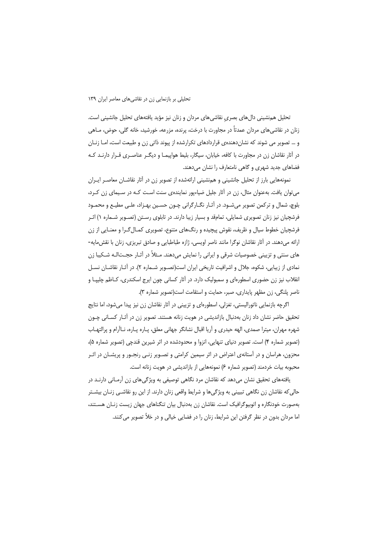تحلیل هم نشینی دالهای بصری نقاشیهای مردان و زنان نیز مؤید یافتههای تحلیل جانشینی است. زنان در نقاشی های مردان عمدتاً در مجاورت با درخت، پرنده، مزرعه، خورشید، خانه گلی، حوض، مــاهی و … تصویر می شوند که نشاندهندهی قراردادهای تکرارشده از پیوند ذاتی زن و طبیعت است، امـا زنـان در آثار نقاشان زن در مجاورت با کافه، خیابان، سیگار، بلیط هواپیمـا و دیگـر عناصـری قـرار دارنـد کـه فضاهای جدید شهری و گاهی نامتعارف را نشان می دهند.

نمونههایی بارز از تحلیل جانشینی و همنشینی ارائهشده از تصویر زن در آثار نقاشــان معاصـر ایــران می توان یافت. بهعنوان مثال، زن در آثار جلیل ضیاءیور نمایندهی سنت اسـت کـه در سـیمای زن کـرد، بلوچ، شمال و ترکمن تصویر میشـود. در آثـار نگـارگرانی چـون حسـین بهـزاد، علـی مطیـع و محمـود فرشچیان نیز زنان تصویری شمایلی، تمامقد و بسیار زیبا دارند. در تابلوی رسـتن (تصـویر شـماره ۱) اثـر فرشچیان خطوط سیال و ظریف، نقوش پیچیده و رنگهای متنوع، تصویری کمـال۴گـرا و معنـایی از زن ارائه میدهند. در آثار نقاشان نوگرا مانند ناصر اویسی، ژازه طباطبایی و صادق تبریزی، زنان با نقش مایه-های سنتی و تزیینی خصوصیات شرقی و ایرانی را نمایش میدهند. مـثلاً در آثـار حجــتالـه شـکیبا زن نمادی از زیبایی، شکوه، جلال و اشرافیت تاریخی ایران است(تصـویر شـماره ۲). در آثـار نقاشــان نســل انقلاب نیز زن حضوری اسطورهای و سمبولیک دارد. در آثار کسانی چون ایرج اسکندری، کـاظم چلیپـا و ناصر پلنگی، زن مظهر پایداری، صبر، حمایت و استقامت است(تصویر شماره ۳).

اگرچه بازنمایی ناتورالیستی، تغزلی، اسطورهای و تزیینی در آثار نقاشان زن نیز پیدا میشود، اما نتایج تحقیق حاضر نشان داد زنان بهدنبال بازاندیشی در هویت زنانه هستند. تصویر زن در آثار کسانی چون شهره مهران، میترا صمدی، الهه حیدری و اّریا اقبال نشانگر جهانی معلق، پــاره پــاره، نــااّرام و پرالتهــاب (تصوير شماره ۴) است. تصوير دنياي تنهايي، انزوا و محدودشده در اثر شيرين قندچي (تصوير شماره ۵)، محزون، هراسان و در آستانهی اعتراض در اثر سیمین کرامتی و تصـویر زنـی رنجـور و پریشـان در اثـر محبوبه بیات خردمند (تصویر شماره ۶) نمونههایی از بازاندیشی در هویت زنانه است.

یافتههای تحقیق نشان میدهد که نقاشان مرد نگاهی توصیفی به ویژگیهای زن آرمـانی دارنـد در حالی که نقاشان زن نگاهی تبیینی به ویژگیها و شرایط واقعی زنان دارند. از این رو نقاشـی زنـان بیشـتر بهصورت خودنگاره و اتوبیوگرافیک است. نقاشان زن بهدنبال بیان تنگناهای جهان زیست زنـان هسـتند، اما مردان بدون در نظر گرفتن این شرایط، زنان را در فضایی خیالی و در خلأ تصویر می کنند.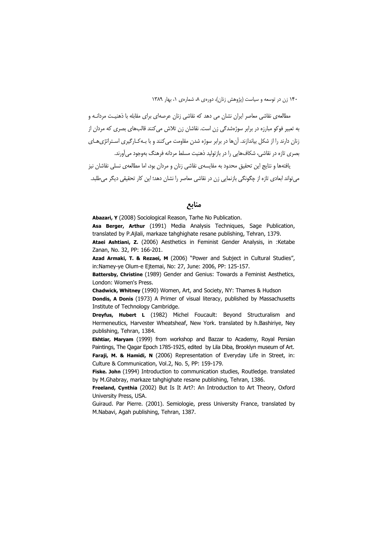مطالعهی نقاشی معاصر ایران نشان می دهد که نقاشی زنان عرصهای برای مقابله با ذهنیـت مردانــه و به تعبیر فوکو مبارزه در برابر سوژهشدگی زن است. نقاشان زن تلاش می کنند قالبهای بصری که مردان از زنان دارند را از شکل بیاندازند. آنها در برابر سوژه شدن مقاومت می کنند و با بـه کـارگیری اسـتراتژیهـای بصری تازه در نقاشی، شکافهایی را در بازتولید ذهنیت مسلط مردانه فرهنگ بهوجود می آورند.

یافتهها و نتایج این تحقیق محدود به مقایسهی نقاشی زنان و مردان بود، اما مطالعهی نسلی نقاشان نیز می تواند ابعادی تازه از چگونگی بازنمایی زن در نقاشی معاصر را نشان دهد؛ این کار تحقیقی دیگر می طلبد.

منابع

Abazari, Y (2008) Sociological Reason, Tarhe No Publication.

Asa Berger, Arthur (1991) Media Analysis Techniques, Sage Publication, translated by P.Ajlali, markaze tahghighate resane publishing, Tehran, 1379. Ataei Ashtiani, Z. (2006) Aesthetics in Feminist Gender Analysis, in :Ketabe

Zanan, No. 32, PP: 166-201.

Azad Armaki, T. & Rezaei, M (2006) "Power and Subject in Cultural Studies", in:Namey-ye Olum-e Ejtemai, No: 27, June: 2006, PP: 125-157.

Battersby, Christine (1989) Gender and Genius: Towards a Feminist Aesthetics, London: Women's Press.

Chadwick, Whitney (1990) Women, Art, and Society, NY: Thames & Hudson

Dondis, A Donis (1973) A Primer of visual literacy, published by Massachusetts Institute of Technology Cambridge.

Dreyfus, Hubert L (1982) Michel Foucault: Beyond Structuralism and Hermeneutics, Harvester Wheatsheaf, New York, translated by h.Bashirive, Nev publishing, Tehran, 1384.

Ekhtiar, Maryam (1999) from workshop and Bazzar to Academy, Royal Persian Paintings, The Qagar Epoch 1785-1925, edited by Lila Diba, Brooklyn museum of Art. Faraji, M. & Hamidi, N (2006) Representation of Everyday Life in Street, in:

Culture & Communication, Vol.2, No. 5, PP: 159-179. Fiske. John (1994) Introduction to communication studies, Routledge. translated by M.Ghabray, markaze tahghighate resane publishing, Tehran, 1386.

Freeland, Cynthia (2002) But Is It Art?: An Introduction to Art Theory, Oxford University Press, USA.

Guiraud, Par Pierre, (2001), Semiologie, press University France, translated by M.Nabavi, Agah publishing, Tehran, 1387.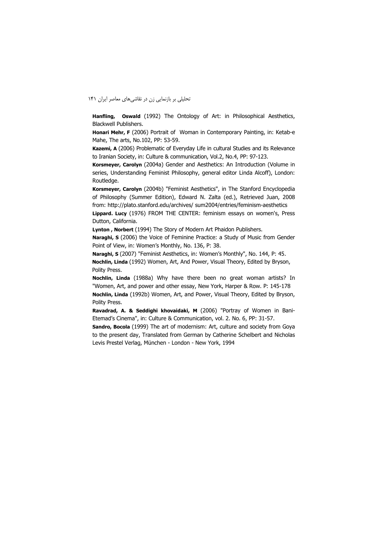Hanfling, Oswald (1992) The Ontology of Art: in Philosophical Aesthetics, Blackwell Publishers.

Honari Mehr, F (2006) Portrait of Woman in Contemporary Painting, in: Ketab-e Mahe, The arts, No.102, PP: 53-59.

Kazemi, A (2006) Problematic of Everyday Life in cultural Studies and its Relevance to Iranian Society, in: Culture & communication, Vol.2, No.4, PP: 97-123.

Korsmeyer, Carolyn (2004a) Gender and Aesthetics: An Introduction (Volume in series, Understanding Feminist Philosophy, general editor Linda Alcoff), London: Routledge.

Korsmeyer, Carolyn (2004b) "Feminist Aesthetics", in The Stanford Encyclopedia of Philosophy (Summer Edition), Edward N. Zalta (ed.), Retrieved Juan, 2008 from: http://plato.stanford.edu/archives/ sum2004/entries/feminism-aesthetics

Lippard. Lucy (1976) FROM THE CENTER: feminism essays on women's, Press Dutton, California.

Lynton, Norbert (1994) The Story of Modern Art Phaidon Publishers.

Naraghi, S (2006) the Voice of Feminine Practice: a Study of Music from Gender Point of View, in: Women's Monthly, No. 136, P: 38.

Naraghi, S (2007) "Feminist Aesthetics, in: Women's Monthly", No. 144, P: 45. Nochlin, Linda (1992) Women, Art, And Power, Visual Theory, Edited by Bryson, Polity Press.

Nochlin, Linda (1988a) Why have there been no great woman artists? In "Women, Art, and power and other essay, New York, Harper & Row. P: 145-178 Nochlin, Linda (1992b) Women, Art, and Power, Visual Theory, Edited by Bryson, Polity Press.

Ravadrad, A. & Seddighi khovaidaki, M (2006) "Portray of Women in Bani-Etemad's Cinema", in: Culture & Communication, vol. 2. No. 6, PP: 31-57.

Sandro, Bocola (1999) The art of modernism: Art, culture and society from Goya to the present day, Translated from German by Catherine Schelbert and Nicholas Levis Prestel Verlag, München - London - New York, 1994